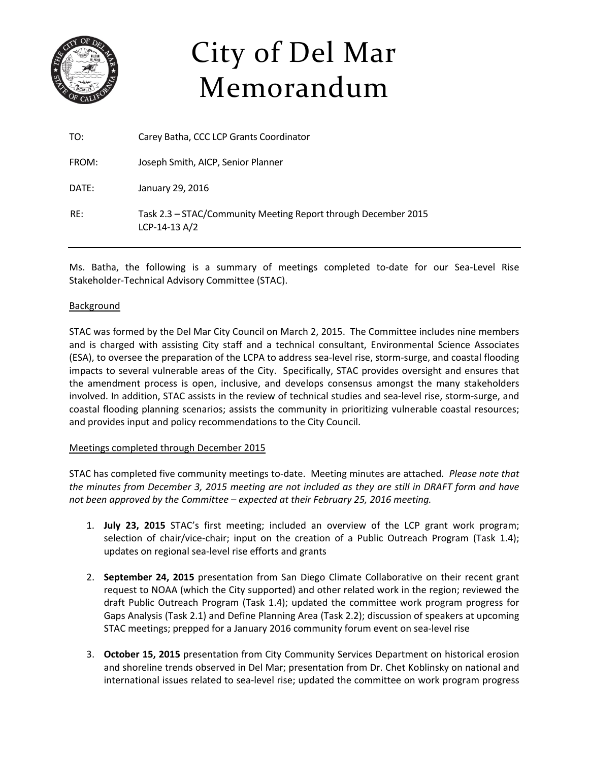

# City of Del Mar Memorandum

| TO:   | Carey Batha, CCC LCP Grants Coordinator                                         |
|-------|---------------------------------------------------------------------------------|
| FROM: | Joseph Smith, AICP, Senior Planner                                              |
| DATE: | January 29, 2016                                                                |
| RF:   | Task 2.3 – STAC/Community Meeting Report through December 2015<br>LCP-14-13 A/2 |

Ms. Batha, the following is a summary of meetings completed to-date for our Sea-Level Rise Stakeholder‐Technical Advisory Committee (STAC).

#### Background

STAC was formed by the Del Mar City Council on March 2, 2015. The Committee includes nine members and is charged with assisting City staff and a technical consultant, Environmental Science Associates (ESA), to oversee the preparation of the LCPA to address sea‐level rise, storm‐surge, and coastal flooding impacts to several vulnerable areas of the City. Specifically, STAC provides oversight and ensures that the amendment process is open, inclusive, and develops consensus amongst the many stakeholders involved. In addition, STAC assists in the review of technical studies and sea‐level rise, storm‐surge, and coastal flooding planning scenarios; assists the community in prioritizing vulnerable coastal resources; and provides input and policy recommendations to the City Council.

#### Meetings completed through December 2015

STAC has completed five community meetings to‐date. Meeting minutes are attached. *Please note that* the minutes from December 3, 2015 meeting are not included as they are still in DRAFT form and have *not been approved by the Committee – expected at their February 25, 2016 meeting.*

- 1. **July 23, 2015** STAC's first meeting; included an overview of the LCP grant work program; selection of chair/vice-chair; input on the creation of a Public Outreach Program (Task 1.4); updates on regional sea‐level rise efforts and grants
- 2. **September 24, 2015** presentation from San Diego Climate Collaborative on their recent grant request to NOAA (which the City supported) and other related work in the region; reviewed the draft Public Outreach Program (Task 1.4); updated the committee work program progress for Gaps Analysis (Task 2.1) and Define Planning Area (Task 2.2); discussion of speakers at upcoming STAC meetings; prepped for a January 2016 community forum event on sea‐level rise
- 3. **October 15, 2015** presentation from City Community Services Department on historical erosion and shoreline trends observed in Del Mar; presentation from Dr. Chet Koblinsky on national and international issues related to sea‐level rise; updated the committee on work program progress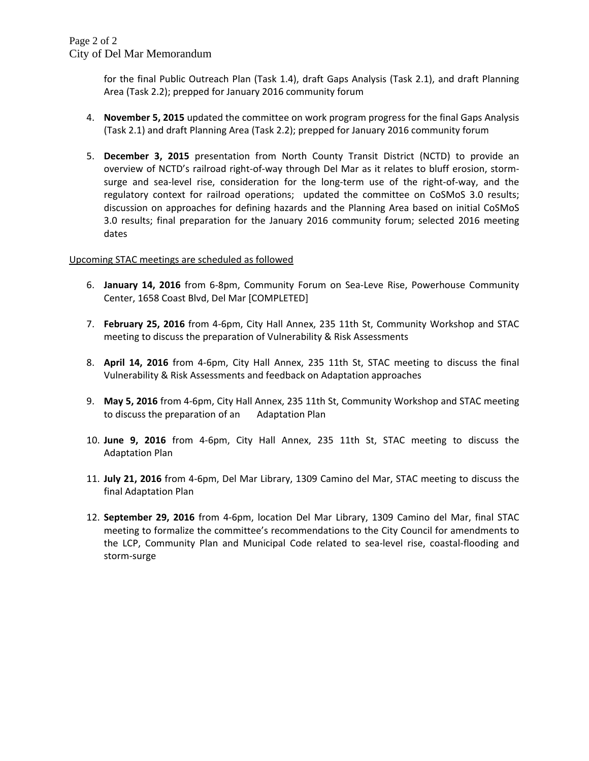for the final Public Outreach Plan (Task 1.4), draft Gaps Analysis (Task 2.1), and draft Planning Area (Task 2.2); prepped for January 2016 community forum

- 4. **November 5, 2015** updated the committee on work program progress for the final Gaps Analysis (Task 2.1) and draft Planning Area (Task 2.2); prepped for January 2016 community forum
- 5. **December 3, 2015** presentation from North County Transit District (NCTD) to provide an overview of NCTD's railroad right‐of‐way through Del Mar as it relates to bluff erosion, storm‐ surge and sea-level rise, consideration for the long-term use of the right-of-way, and the regulatory context for railroad operations; updated the committee on CoSMoS 3.0 results; discussion on approaches for defining hazards and the Planning Area based on initial CoSMoS 3.0 results; final preparation for the January 2016 community forum; selected 2016 meeting dates

#### Upcoming STAC meetings are scheduled as followed

- 6. **January 14, 2016** from 6‐8pm, Community Forum on Sea‐Leve Rise, Powerhouse Community Center, 1658 Coast Blvd, Del Mar [COMPLETED]
- 7. **February 25, 2016** from 4‐6pm, City Hall Annex, 235 11th St, Community Workshop and STAC meeting to discuss the preparation of Vulnerability & Risk Assessments
- 8. **April 14, 2016** from 4‐6pm, City Hall Annex, 235 11th St, STAC meeting to discuss the final Vulnerability & Risk Assessments and feedback on Adaptation approaches
- 9. **May 5, 2016** from 4‐6pm, City Hall Annex, 235 11th St, Community Workshop and STAC meeting to discuss the preparation of an Adaptation Plan
- 10. **June 9, 2016** from 4‐6pm, City Hall Annex, 235 11th St, STAC meeting to discuss the Adaptation Plan
- 11. **July 21, 2016** from 4‐6pm, Del Mar Library, 1309 Camino del Mar, STAC meeting to discuss the final Adaptation Plan
- 12. **September 29, 2016** from 4‐6pm, location Del Mar Library, 1309 Camino del Mar, final STAC meeting to formalize the committee's recommendations to the City Council for amendments to the LCP, Community Plan and Municipal Code related to sea‐level rise, coastal‐flooding and storm‐surge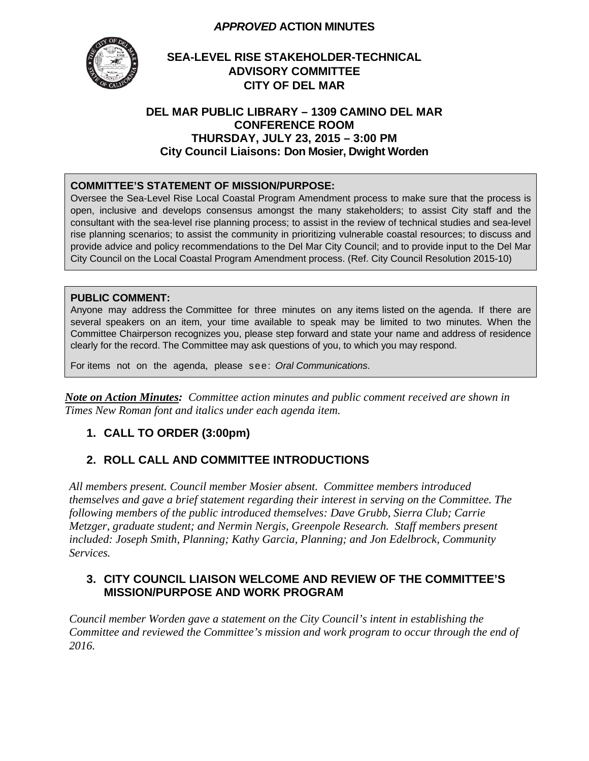#### *APPROVED* **ACTION MINUTES**



## **SEA-LEVEL RISE STAKEHOLDER-TECHNICAL ADVISORY COMMITTEE CITY OF DEL MAR**

#### **DEL MAR PUBLIC LIBRARY – 1309 CAMINO DEL MAR CONFERENCE ROOM THURSDAY, JULY 23, 2015 – 3:00 PM City Council Liaisons: Don Mosier, Dwight Worden**

#### **COMMITTEE'S STATEMENT OF MISSION/PURPOSE:**

Oversee the Sea-Level Rise Local Coastal Program Amendment process to make sure that the process is open, inclusive and develops consensus amongst the many stakeholders; to assist City staff and the consultant with the sea-level rise planning process; to assist in the review of technical studies and sea-level rise planning scenarios; to assist the community in prioritizing vulnerable coastal resources; to discuss and provide advice and policy recommendations to the Del Mar City Council; and to provide input to the Del Mar City Council on the Local Coastal Program Amendment process. (Ref. City Council Resolution 2015-10)

#### **PUBLIC COMMENT:**

Anyone may address the Committee for three minutes on any items listed on the agenda. If there are several speakers on an item, your time available to speak may be limited to two minutes. When the Committee Chairperson recognizes you, please step forward and state your name and address of residence clearly for the record. The Committee may ask questions of you, to which you may respond.

For items not on the agenda, please see: *Oral Communications*.

*Note on Action Minutes: Committee action minutes and public comment received are shown in Times New Roman font and italics under each agenda item.*

## **1. CALL TO ORDER (3:00pm)**

## **2. ROLL CALL AND COMMITTEE INTRODUCTIONS**

*All members present. Council member Mosier absent. Committee members introduced themselves and gave a brief statement regarding their interest in serving on the Committee. The following members of the public introduced themselves: Dave Grubb, Sierra Club; Carrie Metzger, graduate student; and Nermin Nergis, Greenpole Research. Staff members present included: Joseph Smith, Planning; Kathy Garcia, Planning; and Jon Edelbrock, Community Services.* 

#### **3. CITY COUNCIL LIAISON WELCOME AND REVIEW OF THE COMMITTEE'S MISSION/PURPOSE AND WORK PROGRAM**

*Council member Worden gave a statement on the City Council's intent in establishing the Committee and reviewed the Committee's mission and work program to occur through the end of 2016.*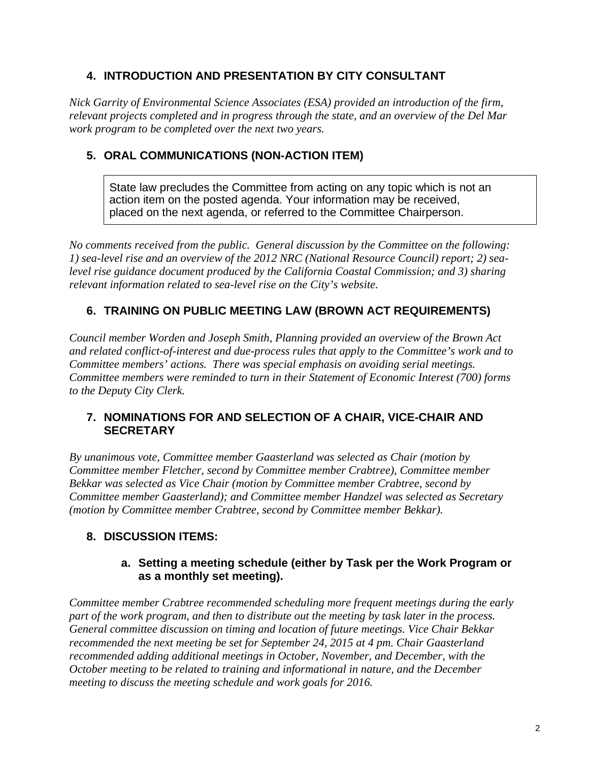## **4. INTRODUCTION AND PRESENTATION BY CITY CONSULTANT**

*Nick Garrity of Environmental Science Associates (ESA) provided an introduction of the firm, relevant projects completed and in progress through the state, and an overview of the Del Mar work program to be completed over the next two years.* 

## **5. ORAL COMMUNICATIONS (NON-ACTION ITEM)**

State law precludes the Committee from acting on any topic which is not an action item on the posted agenda. Your information may be received, placed on the next agenda, or referred to the Committee Chairperson.

*No comments received from the public. General discussion by the Committee on the following: 1) sea-level rise and an overview of the 2012 NRC (National Resource Council) report; 2) sealevel rise guidance document produced by the California Coastal Commission; and 3) sharing relevant information related to sea-level rise on the City's website.* 

# **6. TRAINING ON PUBLIC MEETING LAW (BROWN ACT REQUIREMENTS)**

*Council member Worden and Joseph Smith, Planning provided an overview of the Brown Act and related conflict-of-interest and due-process rules that apply to the Committee's work and to Committee members' actions. There was special emphasis on avoiding serial meetings. Committee members were reminded to turn in their Statement of Economic Interest (700) forms to the Deputy City Clerk.* 

## **7. NOMINATIONS FOR AND SELECTION OF A CHAIR, VICE-CHAIR AND SECRETARY**

*By unanimous vote, Committee member Gaasterland was selected as Chair (motion by Committee member Fletcher, second by Committee member Crabtree), Committee member Bekkar was selected as Vice Chair (motion by Committee member Crabtree, second by Committee member Gaasterland); and Committee member Handzel was selected as Secretary (motion by Committee member Crabtree, second by Committee member Bekkar).* 

## **8. DISCUSSION ITEMS:**

#### **a. Setting a meeting schedule (either by Task per the Work Program or as a monthly set meeting).**

*Committee member Crabtree recommended scheduling more frequent meetings during the early part of the work program, and then to distribute out the meeting by task later in the process. General committee discussion on timing and location of future meetings. Vice Chair Bekkar recommended the next meeting be set for September 24, 2015 at 4 pm. Chair Gaasterland recommended adding additional meetings in October, November, and December, with the October meeting to be related to training and informational in nature, and the December meeting to discuss the meeting schedule and work goals for 2016.*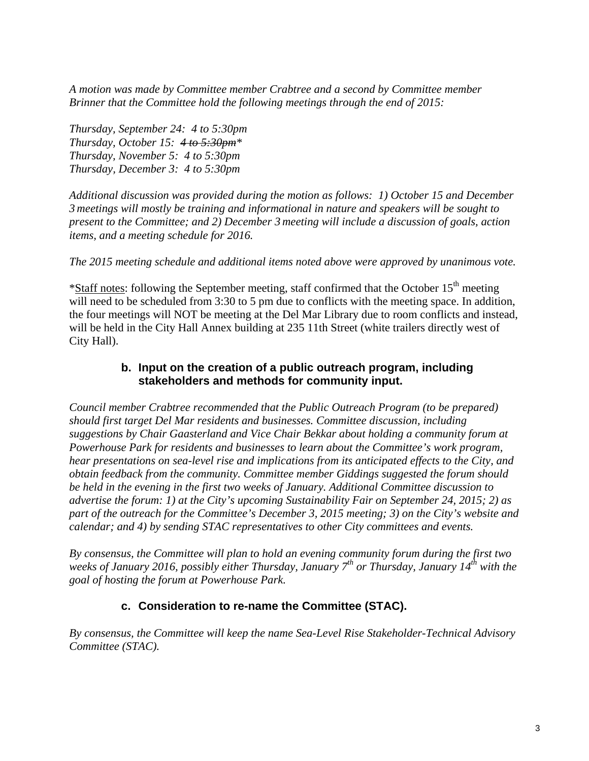*A motion was made by Committee member Crabtree and a second by Committee member Brinner that the Committee hold the following meetings through the end of 2015:* 

*Thursday, September 24: 4 to 5:30pm Thursday, October 15: 4 to 5:30pm\* Thursday, November 5: 4 to 5:30pm Thursday, December 3: 4 to 5:30pm* 

*Additional discussion was provided during the motion as follows: 1) October 15 and December 3 meetings will mostly be training and informational in nature and speakers will be sought to present to the Committee; and 2) December 3 meeting will include a discussion of goals, action items, and a meeting schedule for 2016.* 

*The 2015 meeting schedule and additional items noted above were approved by unanimous vote.* 

 $*$ Staff notes: following the September meeting, staff confirmed that the October 15<sup>th</sup> meeting will need to be scheduled from 3:30 to 5 pm due to conflicts with the meeting space. In addition, the four meetings will NOT be meeting at the Del Mar Library due to room conflicts and instead, will be held in the City Hall Annex building at 235 11th Street (white trailers directly west of City Hall).

## **b. Input on the creation of a public outreach program, including stakeholders and methods for community input.**

*Council member Crabtree recommended that the Public Outreach Program (to be prepared) should first target Del Mar residents and businesses. Committee discussion, including suggestions by Chair Gaasterland and Vice Chair Bekkar about holding a community forum at Powerhouse Park for residents and businesses to learn about the Committee's work program, hear presentations on sea-level rise and implications from its anticipated effects to the City, and obtain feedback from the community. Committee member Giddings suggested the forum should be held in the evening in the first two weeks of January. Additional Committee discussion to advertise the forum: 1) at the City's upcoming Sustainability Fair on September 24, 2015; 2) as part of the outreach for the Committee's December 3, 2015 meeting; 3) on the City's website and calendar; and 4) by sending STAC representatives to other City committees and events.* 

*By consensus, the Committee will plan to hold an evening community forum during the first two weeks of January 2016, possibly either Thursday, January 7<sup>th</sup> or Thursday, January 14<sup>th</sup> with the goal of hosting the forum at Powerhouse Park.*

# **c. Consideration to re-name the Committee (STAC).**

*By consensus, the Committee will keep the name Sea-Level Rise Stakeholder-Technical Advisory Committee (STAC).*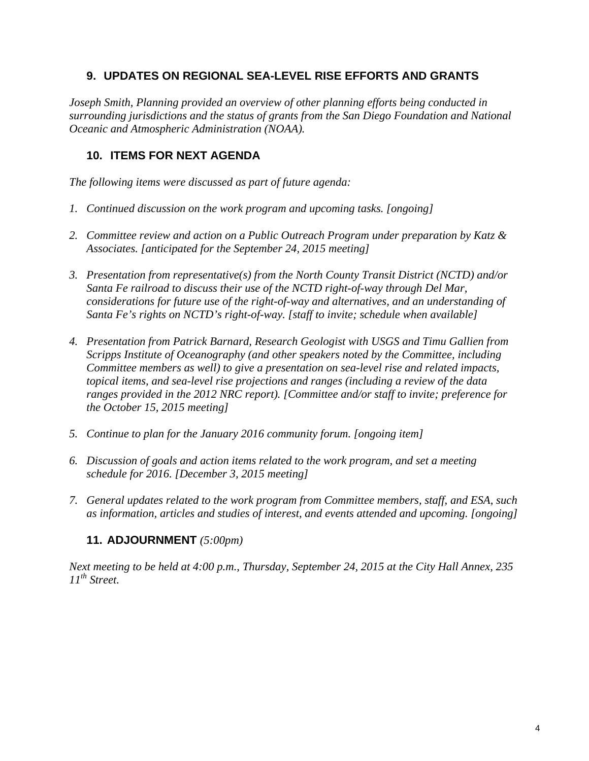## **9. UPDATES ON REGIONAL SEA-LEVEL RISE EFFORTS AND GRANTS**

*Joseph Smith, Planning provided an overview of other planning efforts being conducted in surrounding jurisdictions and the status of grants from the San Diego Foundation and National Oceanic and Atmospheric Administration (NOAA).* 

## **10. ITEMS FOR NEXT AGENDA**

*The following items were discussed as part of future agenda:* 

- *1. Continued discussion on the work program and upcoming tasks. [ongoing]*
- *2. Committee review and action on a Public Outreach Program under preparation by Katz & Associates. [anticipated for the September 24, 2015 meeting]*
- *3. Presentation from representative(s) from the North County Transit District (NCTD) and/or Santa Fe railroad to discuss their use of the NCTD right-of-way through Del Mar, considerations for future use of the right-of-way and alternatives, and an understanding of Santa Fe's rights on NCTD's right-of-way. [staff to invite; schedule when available]*
- *4. Presentation from Patrick Barnard, Research Geologist with USGS and Timu Gallien from Scripps Institute of Oceanography (and other speakers noted by the Committee, including Committee members as well) to give a presentation on sea-level rise and related impacts, topical items, and sea-level rise projections and ranges (including a review of the data ranges provided in the 2012 NRC report). [Committee and/or staff to invite; preference for the October 15, 2015 meeting]*
- *5. Continue to plan for the January 2016 community forum. [ongoing item]*
- *6. Discussion of goals and action items related to the work program, and set a meeting schedule for 2016. [December 3, 2015 meeting]*
- *7. General updates related to the work program from Committee members, staff, and ESA, such as information, articles and studies of interest, and events attended and upcoming. [ongoing]*

#### **11. ADJOURNMENT** *(5:00pm)*

*Next meeting to be held at 4:00 p.m., Thursday, September 24, 2015 at the City Hall Annex, 235 11th Street.*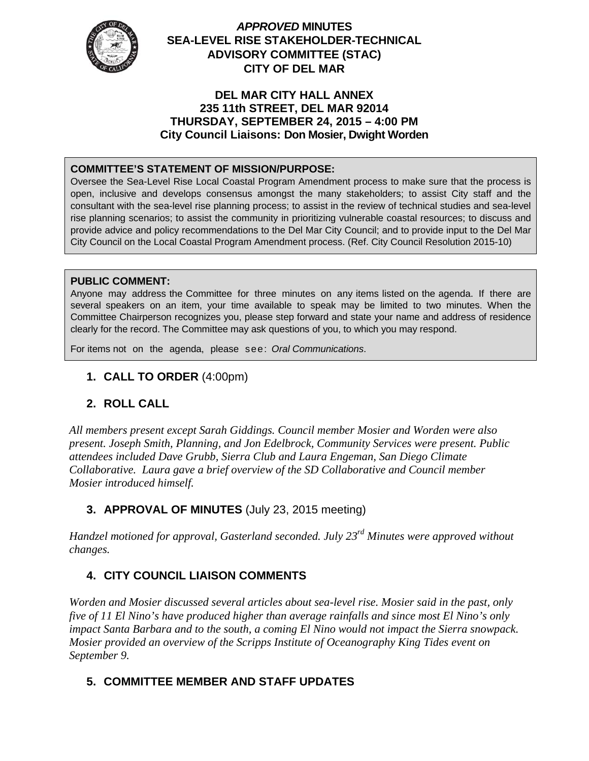

## *APPROVED* **MINUTES SEA-LEVEL RISE STAKEHOLDER-TECHNICAL ADVISORY COMMITTEE (STAC) CITY OF DEL MAR**

#### **DEL MAR CITY HALL ANNEX 235 11th STREET, DEL MAR 92014 THURSDAY, SEPTEMBER 24, 2015 – 4:00 PM City Council Liaisons: Don Mosier, Dwight Worden**

## **COMMITTEE'S STATEMENT OF MISSION/PURPOSE:**

Oversee the Sea-Level Rise Local Coastal Program Amendment process to make sure that the process is open, inclusive and develops consensus amongst the many stakeholders; to assist City staff and the consultant with the sea-level rise planning process; to assist in the review of technical studies and sea-level rise planning scenarios; to assist the community in prioritizing vulnerable coastal resources; to discuss and provide advice and policy recommendations to the Del Mar City Council; and to provide input to the Del Mar City Council on the Local Coastal Program Amendment process. (Ref. City Council Resolution 2015-10)

#### **PUBLIC COMMENT:**

Anyone may address the Committee for three minutes on any items listed on the agenda. If there are several speakers on an item, your time available to speak may be limited to two minutes. When the Committee Chairperson recognizes you, please step forward and state your name and address of residence clearly for the record. The Committee may ask questions of you, to which you may respond.

For items not on the agenda, please see: *Oral Communications*.

## **1. CALL TO ORDER** (4:00pm)

## **2. ROLL CALL**

*All members present except Sarah Giddings. Council member Mosier and Worden were also present. Joseph Smith, Planning, and Jon Edelbrock, Community Services were present. Public attendees included Dave Grubb, Sierra Club and Laura Engeman, San Diego Climate Collaborative. Laura gave a brief overview of the SD Collaborative and Council member Mosier introduced himself.* 

# **3. APPROVAL OF MINUTES** (July 23, 2015 meeting)

*Handzel motioned for approval, Gasterland seconded. July 23rd Minutes were approved without changes.*

## **4. CITY COUNCIL LIAISON COMMENTS**

*Worden and Mosier discussed several articles about sea-level rise. Mosier said in the past, only five of 11 El Nino's have produced higher than average rainfalls and since most El Nino's only impact Santa Barbara and to the south, a coming El Nino would not impact the Sierra snowpack. Mosier provided an overview of the Scripps Institute of Oceanography King Tides event on September 9.* 

## **5. COMMITTEE MEMBER AND STAFF UPDATES**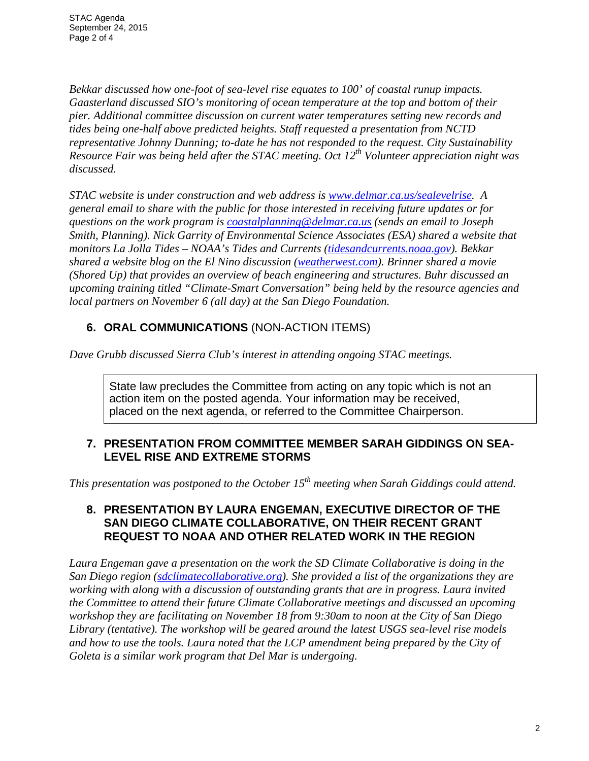*Bekkar discussed how one-foot of sea-level rise equates to 100' of coastal runup impacts. Gaasterland discussed SIO's monitoring of ocean temperature at the top and bottom of their pier. Additional committee discussion on current water temperatures setting new records and tides being one-half above predicted heights. Staff requested a presentation from NCTD representative Johnny Dunning; to-date he has not responded to the request. City Sustainability Resource Fair was being held after the STAC meeting. Oct 12th Volunteer appreciation night was discussed.* 

*STAC website is under construction and web address is www.delmar.ca.us/sealevelrise. A general email to share with the public for those interested in receiving future updates or for questions on the work program is coastalplanning@delmar.ca.us (sends an email to Joseph Smith, Planning). Nick Garrity of Environmental Science Associates (ESA) shared a website that monitors La Jolla Tides – NOAA's Tides and Currents (tidesandcurrents.noaa.gov). Bekkar shared a website blog on the El Nino discussion (weatherwest.com). Brinner shared a movie (Shored Up) that provides an overview of beach engineering and structures. Buhr discussed an upcoming training titled "Climate-Smart Conversation" being held by the resource agencies and local partners on November 6 (all day) at the San Diego Foundation.* 

## **6. ORAL COMMUNICATIONS** (NON-ACTION ITEMS)

*Dave Grubb discussed Sierra Club's interest in attending ongoing STAC meetings.*

State law precludes the Committee from acting on any topic which is not an action item on the posted agenda. Your information may be received, placed on the next agenda, or referred to the Committee Chairperson.

## **7. PRESENTATION FROM COMMITTEE MEMBER SARAH GIDDINGS ON SEA-LEVEL RISE AND EXTREME STORMS**

*This presentation was postponed to the October 15th meeting when Sarah Giddings could attend.*

## **8. PRESENTATION BY LAURA ENGEMAN, EXECUTIVE DIRECTOR OF THE SAN DIEGO CLIMATE COLLABORATIVE, ON THEIR RECENT GRANT REQUEST TO NOAA AND OTHER RELATED WORK IN THE REGION**

*Laura Engeman gave a presentation on the work the SD Climate Collaborative is doing in the San Diego region (sdclimatecollaborative.org). She provided a list of the organizations they are working with along with a discussion of outstanding grants that are in progress. Laura invited the Committee to attend their future Climate Collaborative meetings and discussed an upcoming workshop they are facilitating on November 18 from 9:30am to noon at the City of San Diego Library (tentative). The workshop will be geared around the latest USGS sea-level rise models and how to use the tools. Laura noted that the LCP amendment being prepared by the City of Goleta is a similar work program that Del Mar is undergoing.*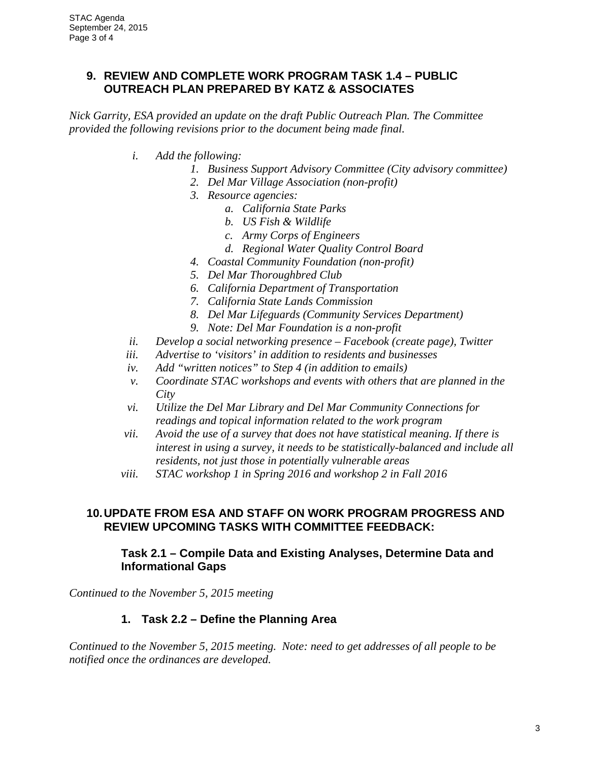## **9. REVIEW AND COMPLETE WORK PROGRAM TASK 1.4 – PUBLIC OUTREACH PLAN PREPARED BY KATZ & ASSOCIATES**

*Nick Garrity, ESA provided an update on the draft Public Outreach Plan. The Committee provided the following revisions prior to the document being made final.* 

- *i. Add the following:* 
	- *1. Business Support Advisory Committee (City advisory committee)*
	- *2. Del Mar Village Association (non-profit)*
	- *3. Resource agencies:* 
		- *a. California State Parks*
		- *b. US Fish & Wildlife*
		- *c. Army Corps of Engineers*
		- *d. Regional Water Quality Control Board*
	- *4. Coastal Community Foundation (non-profit)*
	- *5. Del Mar Thoroughbred Club*
	- *6. California Department of Transportation*
	- *7. California State Lands Commission*
	- *8. Del Mar Lifeguards (Community Services Department)*
	- *9. Note: Del Mar Foundation is a non-profit*
- *ii. Develop a social networking presence Facebook (create page), Twitter*
- *iii. Advertise to 'visitors' in addition to residents and businesses*
- *iv. Add "written notices" to Step 4 (in addition to emails)*
- *v. Coordinate STAC workshops and events with others that are planned in the City*
- *vi. Utilize the Del Mar Library and Del Mar Community Connections for readings and topical information related to the work program*
- *vii. Avoid the use of a survey that does not have statistical meaning. If there is interest in using a survey, it needs to be statistically-balanced and include all residents, not just those in potentially vulnerable areas*
- *viii. STAC workshop 1 in Spring 2016 and workshop 2 in Fall 2016*

#### **10. UPDATE FROM ESA AND STAFF ON WORK PROGRAM PROGRESS AND REVIEW UPCOMING TASKS WITH COMMITTEE FEEDBACK:**

#### **Task 2.1 – Compile Data and Existing Analyses, Determine Data and Informational Gaps**

*Continued to the November 5, 2015 meeting* 

#### **1. Task 2.2 – Define the Planning Area**

*Continued to the November 5, 2015 meeting. Note: need to get addresses of all people to be notified once the ordinances are developed.*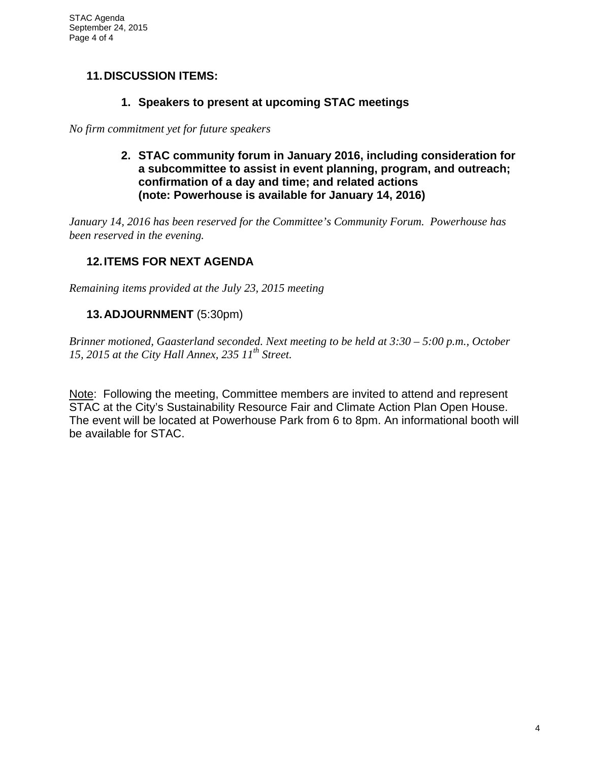## **11. DISCUSSION ITEMS:**

#### **1. Speakers to present at upcoming STAC meetings**

*No firm commitment yet for future speakers* 

**2. STAC community forum in January 2016, including consideration for a subcommittee to assist in event planning, program, and outreach; confirmation of a day and time; and related actions (note: Powerhouse is available for January 14, 2016)** 

*January 14, 2016 has been reserved for the Committee's Community Forum. Powerhouse has been reserved in the evening.*

## **12. ITEMS FOR NEXT AGENDA**

*Remaining items provided at the July 23, 2015 meeting* 

## **13. ADJOURNMENT** (5:30pm)

*Brinner motioned, Gaasterland seconded. Next meeting to be held at 3:30 – 5:00 p.m., October 15, 2015 at the City Hall Annex, 235 11th Street.* 

Note: Following the meeting, Committee members are invited to attend and represent STAC at the City's Sustainability Resource Fair and Climate Action Plan Open House. The event will be located at Powerhouse Park from 6 to 8pm. An informational booth will be available for STAC.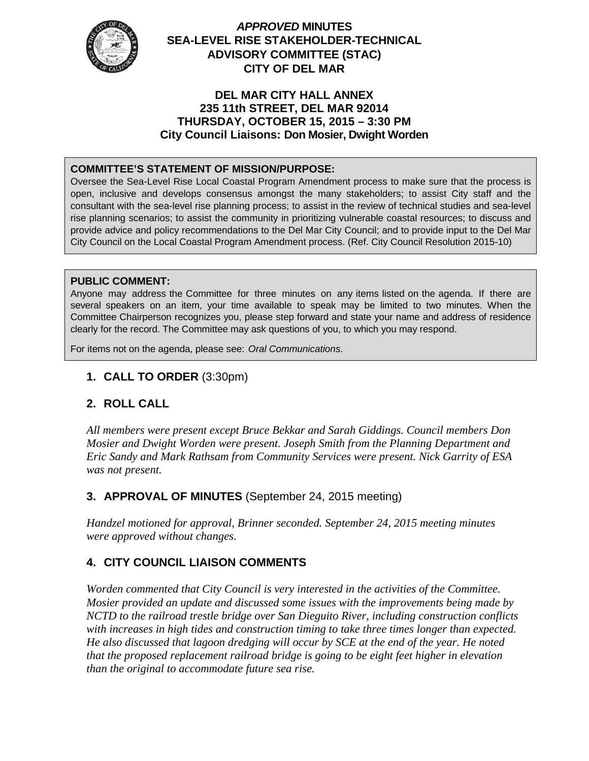

## *APPROVED* **MINUTES SEA-LEVEL RISE STAKEHOLDER-TECHNICAL ADVISORY COMMITTEE (STAC) CITY OF DEL MAR**

#### **DEL MAR CITY HALL ANNEX 235 11th STREET, DEL MAR 92014 THURSDAY, OCTOBER 15, 2015 – 3:30 PM City Council Liaisons: Don Mosier, Dwight Worden**

#### **COMMITTEE'S STATEMENT OF MISSION/PURPOSE:**

Oversee the Sea-Level Rise Local Coastal Program Amendment process to make sure that the process is open, inclusive and develops consensus amongst the many stakeholders; to assist City staff and the consultant with the sea-level rise planning process; to assist in the review of technical studies and sea-level rise planning scenarios; to assist the community in prioritizing vulnerable coastal resources; to discuss and provide advice and policy recommendations to the Del Mar City Council; and to provide input to the Del Mar City Council on the Local Coastal Program Amendment process. (Ref. City Council Resolution 2015-10)

#### **PUBLIC COMMENT:**

Anyone may address the Committee for three minutes on any items listed on the agenda. If there are several speakers on an item, your time available to speak may be limited to two minutes. When the Committee Chairperson recognizes you, please step forward and state your name and address of residence clearly for the record. The Committee may ask questions of you, to which you may respond.

For items not on the agenda, please see: *Oral Communications*.

## **1. CALL TO ORDER** (3:30pm)

## **2. ROLL CALL**

*All members were present except Bruce Bekkar and Sarah Giddings. Council members Don Mosier and Dwight Worden were present. Joseph Smith from the Planning Department and Eric Sandy and Mark Rathsam from Community Services were present. Nick Garrity of ESA was not present.* 

## **3. APPROVAL OF MINUTES** (September 24, 2015 meeting)

*Handzel motioned for approval, Brinner seconded. September 24, 2015 meeting minutes were approved without changes.*

## **4. CITY COUNCIL LIAISON COMMENTS**

*Worden commented that City Council is very interested in the activities of the Committee. Mosier provided an update and discussed some issues with the improvements being made by NCTD to the railroad trestle bridge over San Dieguito River, including construction conflicts with increases in high tides and construction timing to take three times longer than expected. He also discussed that lagoon dredging will occur by SCE at the end of the year. He noted that the proposed replacement railroad bridge is going to be eight feet higher in elevation than the original to accommodate future sea rise.*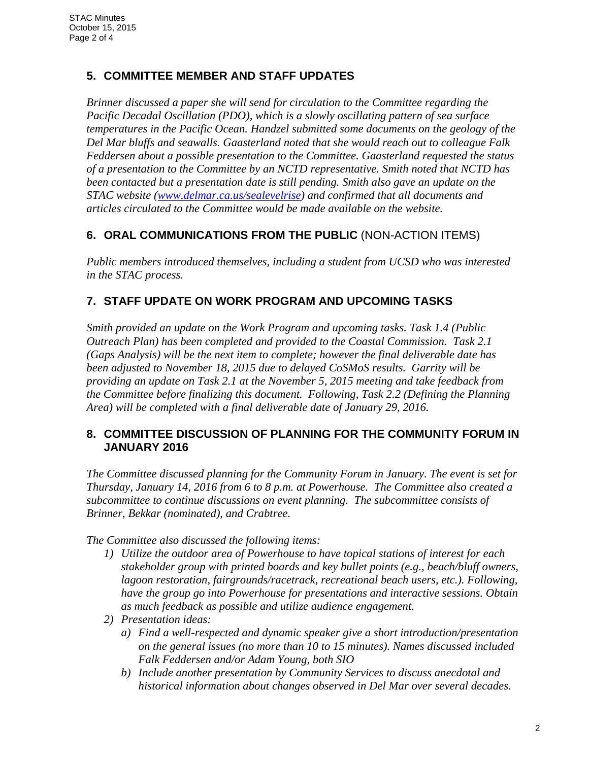## **5. COMMITTEE MEMBER AND STAFF UPDATES**

*Brinner discussed a paper she will send for circulation to the Committee regarding the Pacific Decadal Oscillation (PDO), which is a slowly oscillating pattern of sea surface temperatures in the Pacific Ocean. Handzel submitted some documents on the geology of the Del Mar bluffs and seawalls. Gaasterland noted that she would reach out to colleague Falk Feddersen about a possible presentation to the Committee. Gaasterland requested the status of a presentation to the Committee by an NCTD representative. Smith noted that NCTD has been contacted but a presentation date is still pending. Smith also gave an update on the STAC website (www.delmar.ca.us/sealevelrise) and confirmed that all documents and articles circulated to the Committee would be made available on the website.*

## **6. ORAL COMMUNICATIONS FROM THE PUBLIC** (NON-ACTION ITEMS)

*Public members introduced themselves, including a student from UCSD who was interested in the STAC process.*

# **7. STAFF UPDATE ON WORK PROGRAM AND UPCOMING TASKS**

*Smith provided an update on the Work Program and upcoming tasks. Task 1.4 (Public Outreach Plan) has been completed and provided to the Coastal Commission. Task 2.1 (Gaps Analysis) will be the next item to complete; however the final deliverable date has been adjusted to November 18, 2015 due to delayed CoSMoS results. Garrity will be providing an update on Task 2.1 at the November 5, 2015 meeting and take feedback from the Committee before finalizing this document. Following, Task 2.2 (Defining the Planning Area) will be completed with a final deliverable date of January 29, 2016.* 

## **8. COMMITTEE DISCUSSION OF PLANNING FOR THE COMMUNITY FORUM IN JANUARY 2016**

*The Committee discussed planning for the Community Forum in January. The event is set for Thursday, January 14, 2016 from 6 to 8 p.m. at Powerhouse. The Committee also created a subcommittee to continue discussions on event planning. The subcommittee consists of Brinner, Bekkar (nominated), and Crabtree.* 

*The Committee also discussed the following items:* 

- *1) Utilize the outdoor area of Powerhouse to have topical stations of interest for each stakeholder group with printed boards and key bullet points (e.g., beach/bluff owners, lagoon restoration, fairgrounds/racetrack, recreational beach users, etc.). Following, have the group go into Powerhouse for presentations and interactive sessions. Obtain as much feedback as possible and utilize audience engagement.*
- *2) Presentation ideas:* 
	- *a) Find a well-respected and dynamic speaker give a short introduction/presentation on the general issues (no more than 10 to 15 minutes). Names discussed included Falk Feddersen and/or Adam Young, both SIO*
	- *b) Include another presentation by Community Services to discuss anecdotal and historical information about changes observed in Del Mar over several decades.*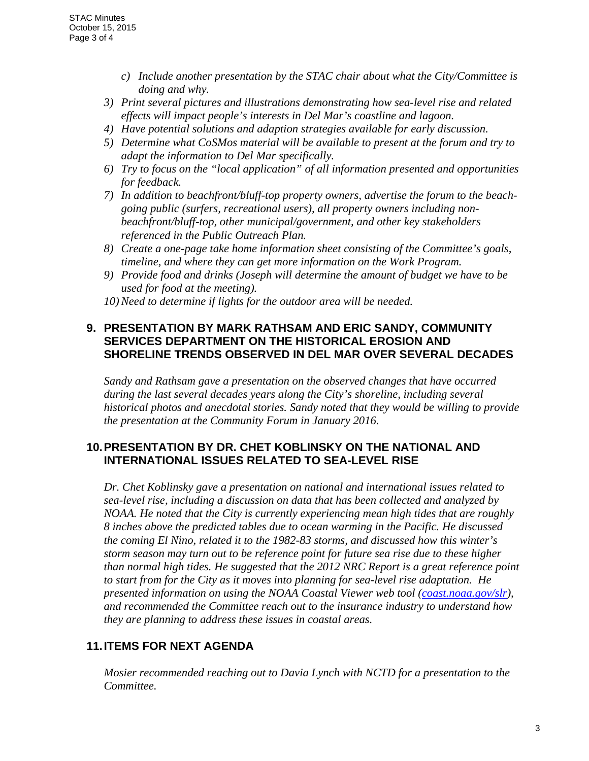- *c) Include another presentation by the STAC chair about what the City/Committee is doing and why.*
- *3) Print several pictures and illustrations demonstrating how sea-level rise and related effects will impact people's interests in Del Mar's coastline and lagoon.*
- *4) Have potential solutions and adaption strategies available for early discussion.*
- *5) Determine what CoSMos material will be available to present at the forum and try to adapt the information to Del Mar specifically.*
- *6) Try to focus on the "local application" of all information presented and opportunities for feedback.*
- *7) In addition to beachfront/bluff-top property owners, advertise the forum to the beachgoing public (surfers, recreational users), all property owners including nonbeachfront/bluff-top, other municipal/government, and other key stakeholders referenced in the Public Outreach Plan.*
- *8) Create a one-page take home information sheet consisting of the Committee's goals, timeline, and where they can get more information on the Work Program.*
- *9) Provide food and drinks (Joseph will determine the amount of budget we have to be used for food at the meeting).*
- *10)Need to determine if lights for the outdoor area will be needed.*

## **9. PRESENTATION BY MARK RATHSAM AND ERIC SANDY, COMMUNITY SERVICES DEPARTMENT ON THE HISTORICAL EROSION AND SHORELINE TRENDS OBSERVED IN DEL MAR OVER SEVERAL DECADES**

*Sandy and Rathsam gave a presentation on the observed changes that have occurred during the last several decades years along the City's shoreline, including several historical photos and anecdotal stories. Sandy noted that they would be willing to provide the presentation at the Community Forum in January 2016.* 

## **10. PRESENTATION BY DR. CHET KOBLINSKY ON THE NATIONAL AND INTERNATIONAL ISSUES RELATED TO SEA-LEVEL RISE**

*Dr. Chet Koblinsky gave a presentation on national and international issues related to sea-level rise, including a discussion on data that has been collected and analyzed by NOAA. He noted that the City is currently experiencing mean high tides that are roughly 8 inches above the predicted tables due to ocean warming in the Pacific. He discussed the coming El Nino, related it to the 1982-83 storms, and discussed how this winter's storm season may turn out to be reference point for future sea rise due to these higher than normal high tides. He suggested that the 2012 NRC Report is a great reference point to start from for the City as it moves into planning for sea-level rise adaptation. He presented information on using the NOAA Coastal Viewer web tool (coast.noaa.gov/slr), and recommended the Committee reach out to the insurance industry to understand how they are planning to address these issues in coastal areas.* 

## **11. ITEMS FOR NEXT AGENDA**

*Mosier recommended reaching out to Davia Lynch with NCTD for a presentation to the Committee.*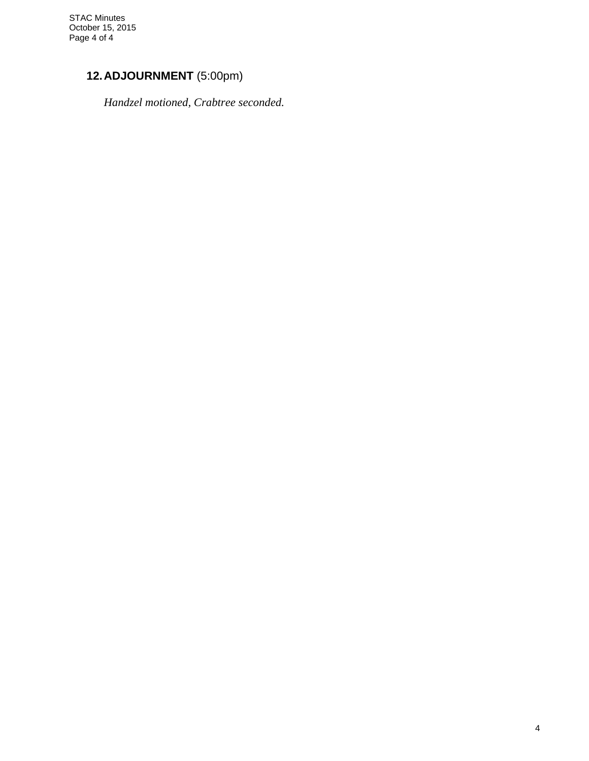# **12. ADJOURNMENT** (5:00pm)

 *Handzel motioned, Crabtree seconded.*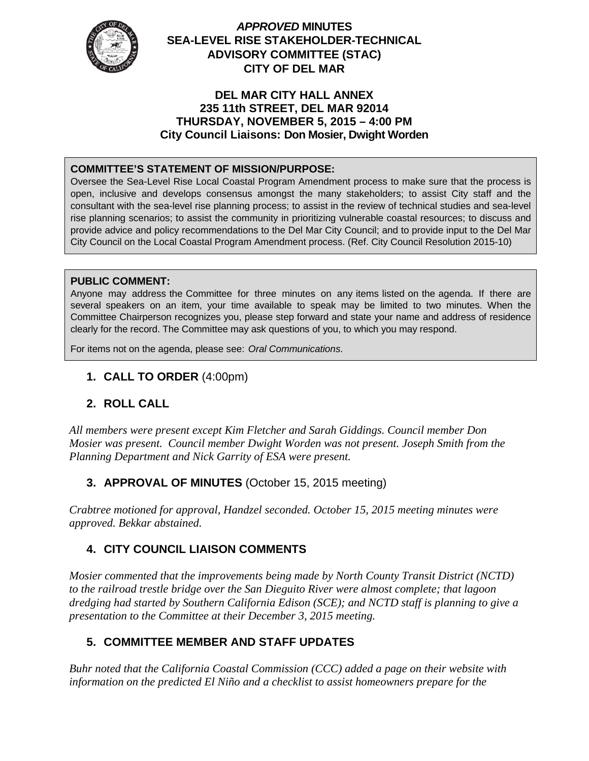

## *APPROVED* **MINUTES SEA-LEVEL RISE STAKEHOLDER-TECHNICAL ADVISORY COMMITTEE (STAC) CITY OF DEL MAR**

#### **DEL MAR CITY HALL ANNEX 235 11th STREET, DEL MAR 92014 THURSDAY, NOVEMBER 5, 2015 – 4:00 PM City Council Liaisons: Don Mosier, Dwight Worden**

## **COMMITTEE'S STATEMENT OF MISSION/PURPOSE:**

Oversee the Sea-Level Rise Local Coastal Program Amendment process to make sure that the process is open, inclusive and develops consensus amongst the many stakeholders; to assist City staff and the consultant with the sea-level rise planning process; to assist in the review of technical studies and sea-level rise planning scenarios; to assist the community in prioritizing vulnerable coastal resources; to discuss and provide advice and policy recommendations to the Del Mar City Council; and to provide input to the Del Mar City Council on the Local Coastal Program Amendment process. (Ref. City Council Resolution 2015-10)

#### **PUBLIC COMMENT:**

Anyone may address the Committee for three minutes on any items listed on the agenda. If there are several speakers on an item, your time available to speak may be limited to two minutes. When the Committee Chairperson recognizes you, please step forward and state your name and address of residence clearly for the record. The Committee may ask questions of you, to which you may respond.

For items not on the agenda, please see: *Oral Communications*.

## **1. CALL TO ORDER** (4:00pm)

## **2. ROLL CALL**

*All members were present except Kim Fletcher and Sarah Giddings. Council member Don Mosier was present. Council member Dwight Worden was not present. Joseph Smith from the Planning Department and Nick Garrity of ESA were present.* 

## **3. APPROVAL OF MINUTES** (October 15, 2015 meeting)

*Crabtree motioned for approval, Handzel seconded. October 15, 2015 meeting minutes were approved. Bekkar abstained.* 

## **4. CITY COUNCIL LIAISON COMMENTS**

*Mosier commented that the improvements being made by North County Transit District (NCTD) to the railroad trestle bridge over the San Dieguito River were almost complete; that lagoon dredging had started by Southern California Edison (SCE); and NCTD staff is planning to give a presentation to the Committee at their December 3, 2015 meeting.* 

## **5. COMMITTEE MEMBER AND STAFF UPDATES**

*Buhr noted that the California Coastal Commission (CCC) added a page on their website with information on the predicted El Niño and a checklist to assist homeowners prepare for the*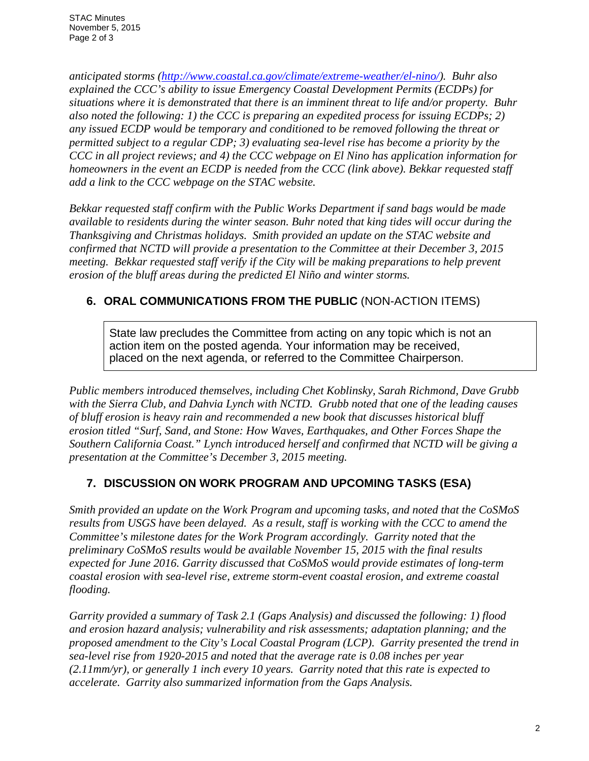*anticipated storms (http://www.coastal.ca.gov/climate/extreme-weather/el-nino/). Buhr also explained the CCC's ability to issue Emergency Coastal Development Permits (ECDPs) for situations where it is demonstrated that there is an imminent threat to life and/or property. Buhr also noted the following: 1) the CCC is preparing an expedited process for issuing ECDPs; 2) any issued ECDP would be temporary and conditioned to be removed following the threat or permitted subject to a regular CDP; 3) evaluating sea-level rise has become a priority by the CCC in all project reviews; and 4) the CCC webpage on El Nino has application information for homeowners in the event an ECDP is needed from the CCC (link above). Bekkar requested staff add a link to the CCC webpage on the STAC website.* 

*Bekkar requested staff confirm with the Public Works Department if sand bags would be made available to residents during the winter season. Buhr noted that king tides will occur during the Thanksgiving and Christmas holidays. Smith provided an update on the STAC website and confirmed that NCTD will provide a presentation to the Committee at their December 3, 2015 meeting. Bekkar requested staff verify if the City will be making preparations to help prevent erosion of the bluff areas during the predicted El Niño and winter storms.* 

# **6. ORAL COMMUNICATIONS FROM THE PUBLIC** (NON-ACTION ITEMS)

State law precludes the Committee from acting on any topic which is not an action item on the posted agenda. Your information may be received, placed on the next agenda, or referred to the Committee Chairperson.

*Public members introduced themselves, including Chet Koblinsky, Sarah Richmond, Dave Grubb with the Sierra Club, and Dahvia Lynch with NCTD. Grubb noted that one of the leading causes of bluff erosion is heavy rain and recommended a new book that discusses historical bluff erosion titled "Surf, Sand, and Stone: How Waves, Earthquakes, and Other Forces Shape the Southern California Coast." Lynch introduced herself and confirmed that NCTD will be giving a presentation at the Committee's December 3, 2015 meeting.* 

# **7. DISCUSSION ON WORK PROGRAM AND UPCOMING TASKS (ESA)**

*Smith provided an update on the Work Program and upcoming tasks, and noted that the CoSMoS results from USGS have been delayed. As a result, staff is working with the CCC to amend the Committee's milestone dates for the Work Program accordingly. Garrity noted that the preliminary CoSMoS results would be available November 15, 2015 with the final results expected for June 2016. Garrity discussed that CoSMoS would provide estimates of long-term coastal erosion with sea-level rise, extreme storm-event coastal erosion, and extreme coastal flooding.* 

*Garrity provided a summary of Task 2.1 (Gaps Analysis) and discussed the following: 1) flood and erosion hazard analysis; vulnerability and risk assessments; adaptation planning; and the proposed amendment to the City's Local Coastal Program (LCP). Garrity presented the trend in sea-level rise from 1920-2015 and noted that the average rate is 0.08 inches per year (2.11mm/yr), or generally 1 inch every 10 years. Garrity noted that this rate is expected to accelerate. Garrity also summarized information from the Gaps Analysis.*